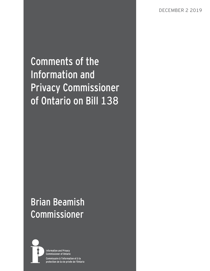Comments of the Information and Privacy Commissioner of Ontario on Bill 138

# Brian Beamish Commissioner



**Information and Privacy Commissioner of Ontario** Commissaire à l'information et à la protection de la vie privée de l'Ontario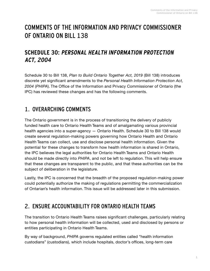## COMMENTS OF THE INFORMATION AND PRIVACY COMMISSIONER OF ONTARIO ON BILL 138

#### **SCHEDULE 30: PERSONAL HEALTH INFORMATION PROTECTION ACT, 2004**

Schedule 30 to Bill 138, *Plan to Build Ontario Together Act, 2019* (Bill 138) introduces discrete yet significant amendments to the *Personal Health Information Protection Act, 2004* (*PHIPA*). The Office of the Information and Privacy Commissioner of Ontario (the IPC) has reviewed these changes and has the following comments.

### 1. OVERARCHING COMMENTS

The Ontario government is in the process of transitioning the delivery of publicly funded health care to Ontario Health Teams and of amalgamating various provincial health agencies into a super-agency — Ontario Health. Schedule 30 to Bill 138 would create several regulation-making powers governing how Ontario Health and Ontario Health Teams can collect, use and disclose personal health information. Given the potential for these changes to transform how health information is shared in Ontario, the IPC believes the legal authorities for Ontario Health Teams and Ontario Health should be made directly into *PHIPA*, and not be left to regulation. This will help ensure that these changes are transparent to the public, and that these authorities can be the subject of deliberation in the legislature.

Lastly, the IPC is concerned that the breadth of the proposed regulation-making power could potentially authorize the making of regulations permitting the commercialization of Ontarian's health information. This issue will be addressed later in this submission.

### 2. ENSURE ACCOUNTABILITY FOR ONTARIO HEALTH TEAMS

The transition to Ontario Health Teams raises significant challenges, particularly relating to how personal health information will be collected, used and disclosed by persons or entities participating in Ontario Health Teams.

By way of background, *PHIPA* governs regulated entities called "health information custodians" (custodians), which include hospitals, doctor's offices, long-term care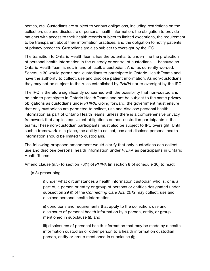homes, etc. Custodians are subject to various obligations, including restrictions on the collection, use and disclosure of personal health information, the obligation to provide patients with access to their health records subject to limited exceptions, the requirement to be transparent about their information practices, and the obligation to notify patients of privacy breaches. Custodians are also subject to oversight by the IPC.

The transition to Ontario Health Teams has the potential to undermine the protection of personal health information in the custody or control of custodians — because an Ontario Health Team is not, in and of itself, a custodian. And, as currently worded, Schedule 30 would permit non-custodians to participate in Ontario Health Teams and have the authority to collect, use and disclose patient information. As non-custodians, they may not be subject to the rules established by *PHIPA* nor to oversight by the IPC.

The IPC is therefore significantly concerned with the possibility that non-custodians be able to participate in Ontario Health Teams and not be subject to the same privacy obligations as custodians under *PHIPA*. Going forward, the government must ensure that only custodians are permitted to collect, use and disclose personal health information as part of Ontario Health Teams, unless there is a comprehensive privacy framework that applies equivalent obligations on non-custodian participants in the teams. These non-custodian participants must also be subject to IPC oversight. Until such a framework is in place, the ability to collect, use and disclose personal health information should be limited to custodians.

The following proposed amendment would clarify that only custodians can collect, use and disclose personal health information under *PHIPA* as participants in Ontario Health Teams.

Amend clause (n.3) to section 73(1) of *PHIPA* (in section 8 of schedule 30) to read:

(n.3) prescribing,

i) under what circumstances a health information custodian who is, or is a part of, a person or entity or group of persons or entities designated under subsection 29 (l) of the *Connecting Care Act, 2019* may collect, use and disclose personal health information,

ii) conditions and requirements that apply to the collection, use and disclosure of personal health information by a person, entity, or group mentioned in subclause (i), and

iii) disclosures of personal health information that may be made by a health information custodian or other person to a health information custodian person, entity or group mentioned in subclause (i);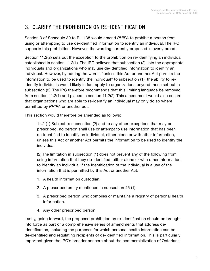### 3. CLARIFY THE PROHIBITION ON RE-IDENTIFICATION

Section 3 of Schedule 30 to Bill 138 would amend *PHIPA* to prohibit a person from using or attempting to use de-identified information to identify an individual. The IPC supports this prohibition. However, the wording currently proposed is overly broad.

Section 11.2(2) sets out the exception to the prohibition on re-identifying an individual established in section 11.2(1). The IPC believes that subsection (2) lists the appropriate individuals and organizations who may use de-identified information to identify an individual. However, by adding the words, "unless this Act or another Act permits the information to be used to identify the individual" to subsection (1), the ability to reidentify individuals would likely in fact apply to organizations beyond those set out in subsection (2). The IPC therefore recommends that this limiting language be removed from section 11.2(1) and placed in section 11.2(2). This amendment would also ensure that organizations who are able to re-identify an individual may only do so where permitted by *PHIPA* or another act.

This section would therefore be amended as follows:

11.2 (1) Subject to subsection (2) and to any other exceptions that may be prescribed, no person shall use or attempt to use information that has been de-identified to identify an individual, either alone or with other information, unless this Act or another Act permits the information to be used to identify the individual.

(2) The limitation in subsection (1) does not prevent any of the following from using information that they de-identified, either alone or with other information, to identify an individual if the identification of the individual is a use of the information that is permitted by this Act or another Act:

- 1. A health information custodian.
- 2. A prescribed entity mentioned in subsection 45 (1).
- 3. A prescribed person who compiles or maintains a registry of personal health information.
- 4. Any other prescribed person.

Lastly, going forward, the proposed prohibition on re-identification should be brought into force as part of a comprehensive series of amendments that address deidentification, including the purposes for which personal health information can be de-identified and regulating recipients of de-identified information. This is particularly important given the IPC's broader concern about the commercialization of Ontarians'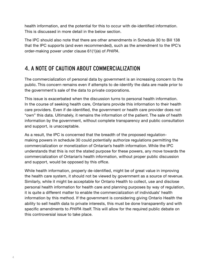health information, and the potential for this to occur with de-identified information. This is discussed in more detail in the below section.

The IPC should also note that there are other amendments in Schedule 30 to Bill 138 that the IPC supports (and even recommended), such as the amendment to the IPC's order-making power under clause 61(1)(e) of *PHIPA*.

#### 4. A NOTE OF CAUTION ABOUT COMMERCIALIZATION

The commercialization of personal data by government is an increasing concern to the public. This concern remains even if attempts to de-identify the data are made prior to the government's sale of the data to private corporations.

This issue is exacerbated when the discussion turns to personal health information. In the course of seeking health care, Ontarians provide this information to their health care providers. Even if de-identified, the government or health care provider does not "own" this data. Ultimately, it remains the information of the patient. The sale of health information by the government, without complete transparency and public consultation and support, is unacceptable.

As a result, the IPC is concerned that the breadth of the proposed regulationmaking powers in schedule 30 could potentially authorize regulations permitting the commercialization or monetization of Ontarian's health information. While the IPC understands that this is not the stated purpose for these powers, any move towards the commercialization of Ontarian's health information, without proper public discussion and support, would be opposed by this office.

While health information, properly de-identified, might be of great value in improving the health care system, it should not be viewed by government as a source of revenue. Similarly, while it might be acceptable for Ontario Health to collect, use and disclose personal health information for health care and planning purposes by way of regulation, it is quite a different matter to enable the commercialization of individuals' health information by this method. If the government is considering giving Ontario Health the ability to sell health data to private interests, this must be done transparently and with specific amendments to *PHIPA* itself. This will allow for the required public debate on this controversial issue to take place.